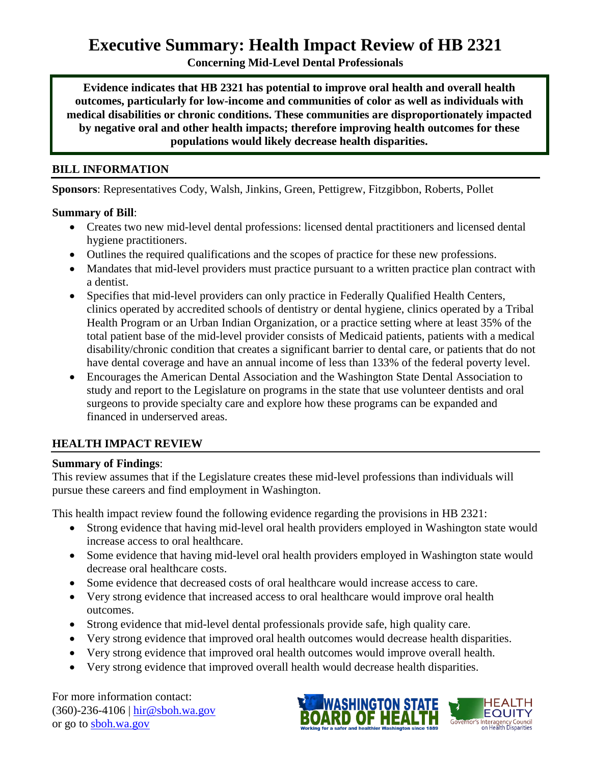# **Executive Summary: Health Impact Review of HB 2321**

**Concerning Mid-Level Dental Professionals**

**Evidence indicates that HB 2321 has potential to improve oral health and overall health outcomes, particularly for low-income and communities of color as well as individuals with medical disabilities or chronic conditions. These communities are disproportionately impacted by negative oral and other health impacts; therefore improving health outcomes for these populations would likely decrease health disparities.**

#### **BILL INFORMATION**

**Sponsors**: Representatives [Cody,](http://www.leg.wa.gov/house/representatives/pages/Cody.aspx) [Walsh,](http://www.leg.wa.gov/house/representatives/pages/Walsh.aspx) [Jinkins,](http://www.leg.wa.gov/house/representatives/pages/Jinkins.aspx) [Green,](http://www.leg.wa.gov/house/representatives/pages/Green.aspx) [Pettigrew,](http://www.leg.wa.gov/house/representatives/pages/Pettigrew.aspx) [Fitzgibbon,](http://www.leg.wa.gov/house/representatives/pages/Fitzgibbon.aspx) [Roberts,](http://www.leg.wa.gov/house/representatives/pages/Roberts.aspx) [Pollet](http://www.leg.wa.gov/house/representatives/pages/Pollet.aspx)

#### **Summary of Bill**:

- Creates two new mid-level dental professions: licensed dental practitioners and licensed dental hygiene practitioners.
- Outlines the required qualifications and the scopes of practice for these new professions.
- Mandates that mid-level providers must practice pursuant to a written practice plan contract with a dentist.
- Specifies that mid-level providers can only practice in Federally Qualified Health Centers, clinics operated by accredited schools of dentistry or dental hygiene, clinics operated by a Tribal Health Program or an Urban Indian Organization, or a practice setting where at least 35% of the total patient base of the mid-level provider consists of Medicaid patients, patients with a medical disability/chronic condition that creates a significant barrier to dental care, or patients that do not have dental coverage and have an annual income of less than 133% of the federal poverty level.
- Encourages the American Dental Association and the Washington State Dental Association to study and report to the Legislature on programs in the state that use volunteer dentists and oral surgeons to provide specialty care and explore how these programs can be expanded and financed in underserved areas.

### **HEALTH IMPACT REVIEW**

#### **Summary of Findings**:

This review assumes that if the Legislature creates these mid-level professions than individuals will pursue these careers and find employment in Washington.

This health impact review found the following evidence regarding the provisions in HB 2321:

- Strong evidence that having mid-level oral health providers employed in Washington state would increase access to oral healthcare.
- Some evidence that having mid-level oral health providers employed in Washington state would decrease oral healthcare costs.
- Some evidence that decreased costs of oral healthcare would increase access to care.
- Very strong evidence that increased access to oral healthcare would improve oral health outcomes.
- Strong evidence that mid-level dental professionals provide safe, high quality care.
- Very strong evidence that improved oral health outcomes would decrease health disparities.
- Very strong evidence that improved oral health outcomes would improve overall health.
- Very strong evidence that improved overall health would decrease health disparities.

For more information contact: (360)-236-4106 | [hir@sboh.wa.gov](mailto:hir@sboh.wa.gov) or go to [sboh.wa.gov](http://sboh.wa.gov/)



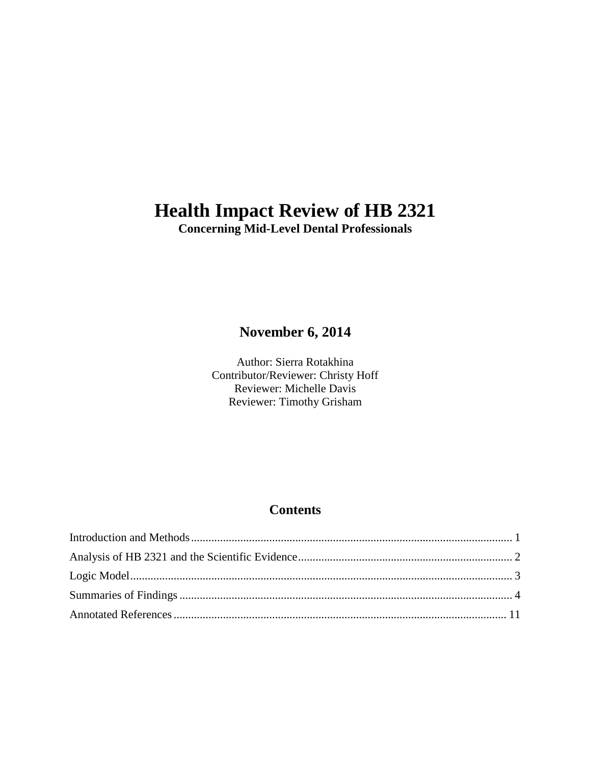# **Health Impact Review of HB 2321**

**Concerning Mid-Level Dental Professionals**

## **November 6, 2014**

Author: Sierra Rotakhina Contributor/Reviewer: Christy Hoff Reviewer: Michelle Davis Reviewer: Timothy Grisham

## **Contents**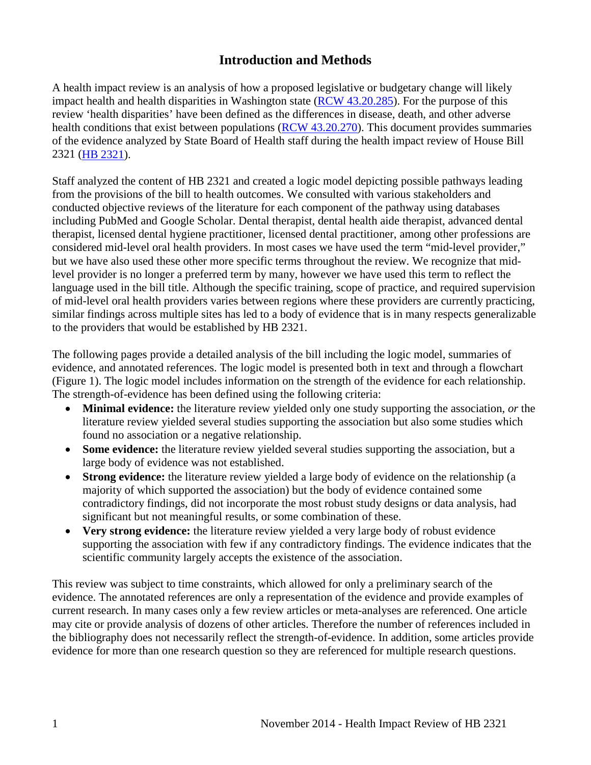## **Introduction and Methods**

<span id="page-2-0"></span>A health impact review is an analysis of how a proposed legislative or budgetary change will likely impact health and health disparities in Washington state [\(RCW 43.20.285\)](http://apps.leg.wa.gov/rcw/default.aspx?cite=43.20.285). For the purpose of this review 'health disparities' have been defined as the differences in disease, death, and other adverse health conditions that exist between populations [\(RCW 43.20.270\)](http://apps.leg.wa.gov/rcw/default.aspx?cite=43.20.270). This document provides summaries of the evidence analyzed by State Board of Health staff during the health impact review of House Bill 2321 [\(HB 2321\)](http://apps.leg.wa.gov/billinfo/summary.aspx?bill=2321).

Staff analyzed the content of HB 2321 and created a logic model depicting possible pathways leading from the provisions of the bill to health outcomes. We consulted with various stakeholders and conducted objective reviews of the literature for each component of the pathway using databases including PubMed and Google Scholar. Dental therapist, dental health aide therapist, advanced dental therapist, licensed dental hygiene practitioner, licensed dental practitioner, among other professions are considered mid-level oral health providers. In most cases we have used the term "mid-level provider," but we have also used these other more specific terms throughout the review. We recognize that midlevel provider is no longer a preferred term by many, however we have used this term to reflect the language used in the bill title. Although the specific training, scope of practice, and required supervision of mid-level oral health providers varies between regions where these providers are currently practicing, similar findings across multiple sites has led to a body of evidence that is in many respects generalizable to the providers that would be established by HB 2321.

The following pages provide a detailed analysis of the bill including the logic model, summaries of evidence, and annotated references. The logic model is presented both in text and through a flowchart (Figure 1). The logic model includes information on the strength of the evidence for each relationship. The strength-of-evidence has been defined using the following criteria:

- **Minimal evidence:** the literature review yielded only one study supporting the association, *or* the literature review yielded several studies supporting the association but also some studies which found no association or a negative relationship.
- **Some evidence:** the literature review yielded several studies supporting the association, but a large body of evidence was not established.
- **Strong evidence:** the literature review yielded a large body of evidence on the relationship (a majority of which supported the association) but the body of evidence contained some contradictory findings, did not incorporate the most robust study designs or data analysis, had significant but not meaningful results, or some combination of these.
- **Very strong evidence:** the literature review yielded a very large body of robust evidence supporting the association with few if any contradictory findings. The evidence indicates that the scientific community largely accepts the existence of the association.

This review was subject to time constraints, which allowed for only a preliminary search of the evidence. The annotated references are only a representation of the evidence and provide examples of current research. In many cases only a few review articles or meta-analyses are referenced. One article may cite or provide analysis of dozens of other articles. Therefore the number of references included in the bibliography does not necessarily reflect the strength-of-evidence. In addition, some articles provide evidence for more than one research question so they are referenced for multiple research questions.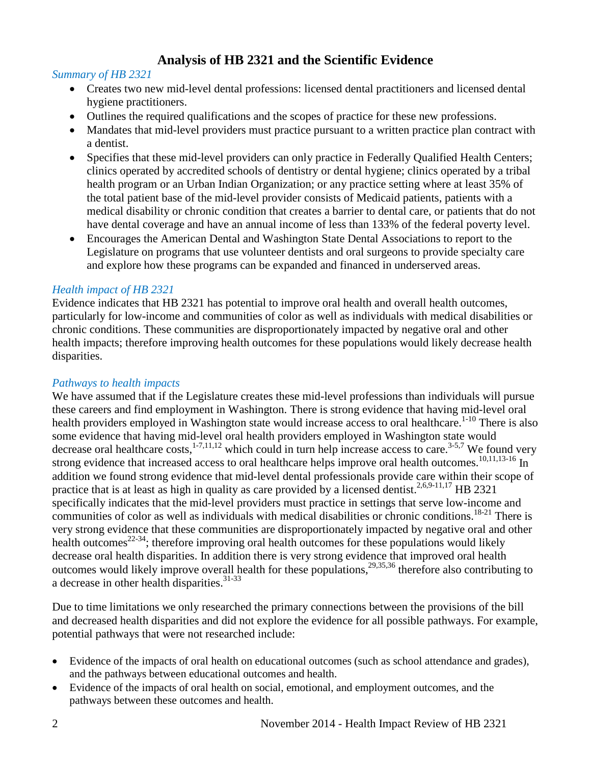## **Analysis of HB 2321 and the Scientific Evidence**

#### <span id="page-3-0"></span>*Summary of HB 2321*

- Creates two new mid-level dental professions: licensed dental practitioners and licensed dental hygiene practitioners.
- Outlines the required qualifications and the scopes of practice for these new professions.
- Mandates that mid-level providers must practice pursuant to a written practice plan contract with a dentist.
- Specifies that these mid-level providers can only practice in Federally Qualified Health Centers; clinics operated by accredited schools of dentistry or dental hygiene; clinics operated by a tribal health program or an Urban Indian Organization; or any practice setting where at least 35% of the total patient base of the mid-level provider consists of Medicaid patients, patients with a medical disability or chronic condition that creates a barrier to dental care, or patients that do not have dental coverage and have an annual income of less than 133% of the federal poverty level.
- Encourages the American Dental and Washington State Dental Associations to report to the Legislature on programs that use volunteer dentists and oral surgeons to provide specialty care and explore how these programs can be expanded and financed in underserved areas.

#### *Health impact of HB 2321*

Evidence indicates that HB 2321 has potential to improve oral health and overall health outcomes, particularly for low-income and communities of color as well as individuals with medical disabilities or chronic conditions. These communities are disproportionately impacted by negative oral and other health impacts; therefore improving health outcomes for these populations would likely decrease health disparities.

#### *Pathways to health impacts*

We have assumed that if the Legislature creates these mid-level professions than individuals will pursue these careers and find employment in Washington. There is strong evidence that having mid-level oral health providers employed in Washington state would increase access to oral healthcare.<sup>[1-10](#page-12-1)</sup> There is also some evidence that having mid-level oral health providers employed in Washington state would decrease oral healthcare costs,<sup>1-7,[11,](#page-16-0)[12](#page-16-1)</sup> which could in turn help increase access to care.<sup>[3-5](#page-12-2)[,7](#page-14-0)</sup> We found very strong evidence that increased access to oral healthcare helps improve oral health outcomes.<sup>10[,11](#page-16-0)[,13-16](#page-16-2)</sup> In addition we found strong evidence that mid-level dental professionals provide care within their scope of practice that is at least as high in quality as care provided by a licensed dentist.<sup>[2,](#page-12-3)[6,](#page-14-1)[9-11,](#page-15-1)[17](#page-17-0)</sup> HB 2321 specifically indicates that the mid-level providers must practice in settings that serve low-income and communities of color as well as individuals with medical disabilities or chronic conditions.<sup>18-21</sup> There is very strong evidence that these communities are disproportionately impacted by negative oral and other health outcomes<sup>22-34</sup>; therefore improving oral health outcomes for these populations would likely decrease oral health disparities. In addition there is very strong evidence that improved oral health outcomes would likely improve overall health for these populations,<sup>[29,](#page-20-0)[35,](#page-22-0)[36](#page-22-1)</sup> therefore also contributing to a decrease in other health disparities.<sup>[31-33](#page-21-0)</sup>

Due to time limitations we only researched the primary connections between the provisions of the bill and decreased health disparities and did not explore the evidence for all possible pathways. For example, potential pathways that were not researched include:

- Evidence of the impacts of oral health on educational outcomes (such as school attendance and grades), and the pathways between educational outcomes and health.
- Evidence of the impacts of oral health on social, emotional, and employment outcomes, and the pathways between these outcomes and health.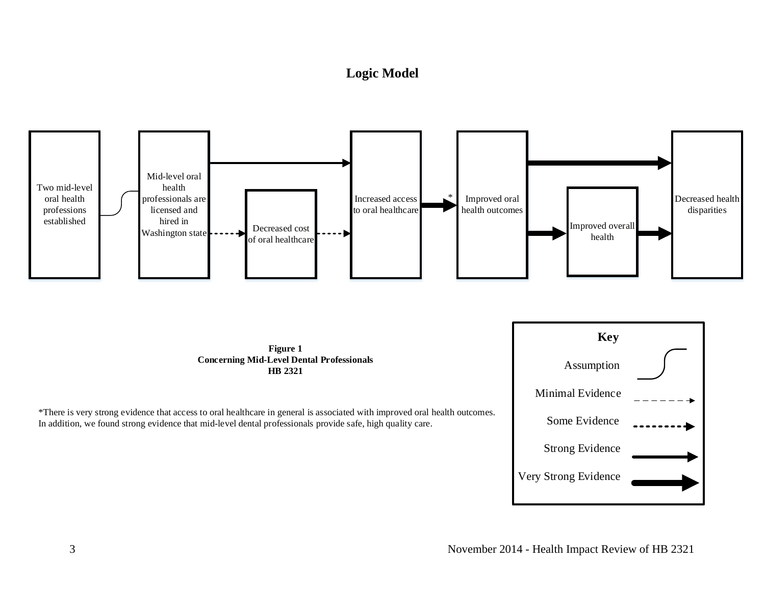## **Logic Model**

<span id="page-4-0"></span>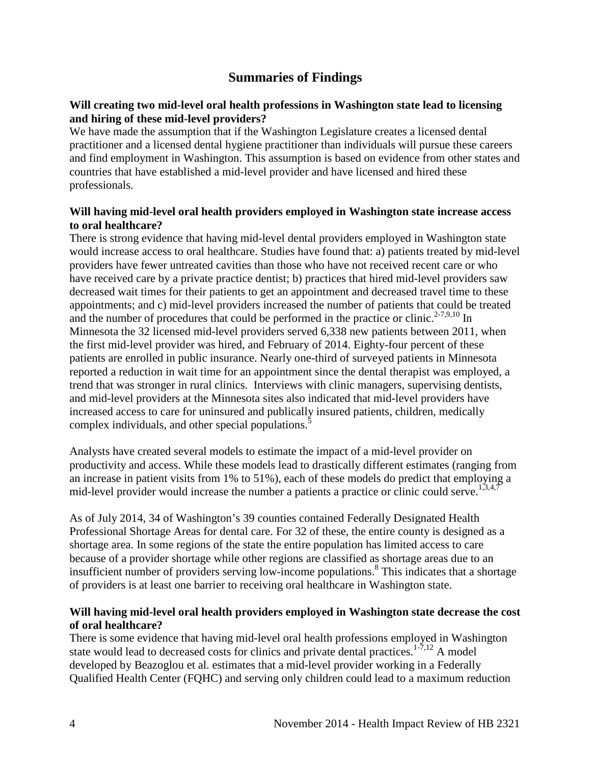## **Summaries of Findings**

#### <span id="page-5-0"></span>**Will creating two mid-level oral health professions in Washington state lead to licensing and hiring of these mid-level providers?**

We have made the assumption that if the Washington Legislature creates a licensed dental practitioner and a licensed dental hygiene practitioner than individuals will pursue these careers and find employment in Washington. This assumption is based on evidence from other states and countries that have established a mid-level provider and have licensed and hired these professionals.

#### **Will having mid-level oral health providers employed in Washington state increase access to oral healthcare?**

There is strong evidence that having mid-level dental providers employed in Washington state would increase access to oral healthcare. Studies have found that: a) patients treated by mid-level providers have fewer untreated cavities than those who have not received recent care or who have received care by a private practice dentist; b) practices that hired mid-level providers saw decreased wait times for their patients to get an appointment and decreased travel time to these appointments; and c) mid-level providers increased the number of patients that could be treated and the number of procedures that could be performed in the practice or clinic.<sup>[2-7,](#page-12-3)[9,](#page-15-1)[10](#page-15-0)</sup> In Minnesota the 32 licensed mid-level providers served 6,338 new patients between 2011, when the first mid-level provider was hired, and February of 2014. Eighty-four percent of these patients are enrolled in public insurance. Nearly one-third of surveyed patients in Minnesota reported a reduction in wait time for an appointment since the dental therapist was employed, a trend that was stronger in rural clinics. Interviews with clinic managers, supervising dentists, and mid-level providers at the Minnesota sites also indicated that mid-level providers have increased access to care for uninsured and publically insured patients, children, medically complex individuals, and other special populations.<sup>[5](#page-13-0)</sup>

Analysts have created several models to estimate the impact of a mid-level provider on productivity and access. While these models lead to drastically different estimates (ranging from an increase in patient visits from 1% to 51%), each of these models do predict that employing a mid-level provider would increase the number a patients a practice or clinic could serve.<sup>[1,](#page-12-1)[3,](#page-12-2)[4,](#page-13-1)[7](#page-14-0)</sup>

As of July 2014, 34 of Washington's 39 counties contained Federally Designated Health Professional Shortage Areas for dental care. For 32 of these, the entire county is designed as a shortage area. In some regions of the state the entire population has limited access to care because of a provider shortage while other regions are classified as shortage areas due to an insufficient number of providers serving low-income populations.<sup>8</sup> This indicates that a shortage of providers is at least one barrier to receiving oral healthcare in Washington state.

#### **Will having mid-level oral health providers employed in Washington state decrease the cost of oral healthcare?**

There is some evidence that having mid-level oral health professions employed in Washington state would lead to decreased costs for clinics and private dental practices.<sup>[1-7](#page-12-1)[,12](#page-16-1)</sup> A model developed by Beazoglou et al. estimates that a mid-level provider working in a Federally Qualified Health Center (FQHC) and serving only children could lead to a maximum reduction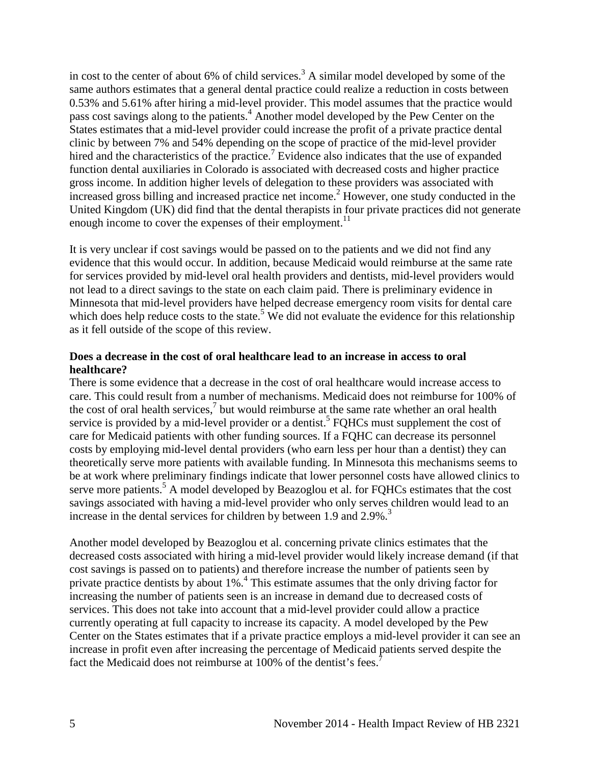in cost to the center of about 6% of child services.<sup>3</sup> A similar model developed by some of the same authors estimates that a general dental practice could realize a reduction in costs between 0.53% and 5.61% after hiring a mid-level provider. This model assumes that the practice would pass cost savings along to the patients.<sup>4</sup> Another model developed by the Pew Center on the States estimates that a mid-level provider could increase the profit of a private practice dental clinic by between 7% and 54% depending on the scope of practice of the mid-level provider hired and the characteristics of the practice.<sup>[7](#page-14-0)</sup> Evidence also indicates that the use of expanded function dental auxiliaries in Colorado is associated with decreased costs and higher practice gross income. In addition higher levels of delegation to these providers was associated with increased gross billing and increased practice net income[.](#page-12-3)<sup>2</sup> However, one study conducted in the United Kingdom (UK) did find that the dental therapists in four private practices did not generate enough income to cover the expenses of their employment.<sup>11</sup>

It is very unclear if cost savings would be passed on to the patients and we did not find any evidence that this would occur. In addition, because Medicaid would reimburse at the same rate for services provided by mid-level oral health providers and dentists, mid-level providers would not lead to a direct savings to the state on each claim paid. There is preliminary evidence in Minnesota that mid-level providers have helped decrease emergency room visits for dental care which does help reduce costs to the state.<sup>5</sup> We did not evaluate the evidence for this relationship as it fell outside of the scope of this review.

#### **Does a decrease in the cost of oral healthcare lead to an increase in access to oral healthcare?**

There is some evidence that a decrease in the cost of oral healthcare would increase access to care. This could result from a number of mechanisms. Medicaid does not reimburse for 100% of the cost of oral health services[,](#page-14-0) $\frac{7}{1}$  but would reimburse at the same rate whether an oral health service is provided by a mid-level provider or a dentist.<sup>5</sup> FQHCs must supplement the cost of care for Medicaid patients with other funding sources. If a FQHC can decrease its personnel costs by employing mid-level dental providers (who earn less per hour than a dentist) they can theoretically serve more patients with available funding. In Minnesota this mechanisms seems to be at work where preliminary findings indicate that lower personnel costs have allowed clinics to serve more patients.<sup>[5](#page-13-0)</sup> A model developed by Beazoglou et al. for FQHCs estimates that the cost savings associated with having a mid-level provider who only serves children would lead to an increase in the dental services for children by between 1.9 and 2.9%.<sup>[3](#page-12-2)</sup>

Another model developed by Beazoglou et al. concerning private clinics estimates that the decreased costs associated with hiring a mid-level provider would likely increase demand (if that cost savings is passed on to patients) and therefore increase the number of patients seen by private practice dentists by about 1%[.](#page-13-1)<sup>4</sup> This estimate assumes that the only driving factor for increasing the number of patients seen is an increase in demand due to decreased costs of services. This does not take into account that a mid-level provider could allow a practice currently operating at full capacity to increase its capacity. A model developed by the Pew Center on the States estimates that if a private practice employs a mid-level provider it can see an increase in profit even after increasing the percentage of Medicaid patients served despite the fact the Medicaid does not reimburse at 100% of the dentist's fees.<sup>[7](#page-14-0)</sup>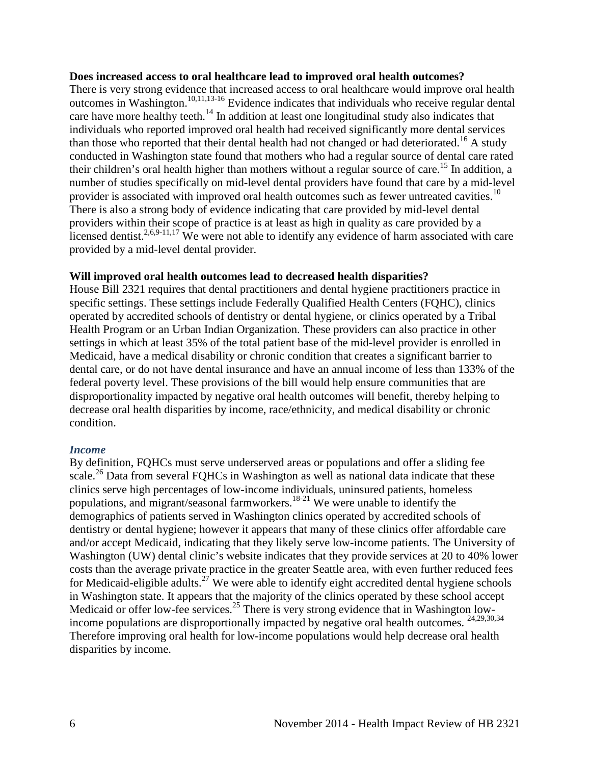#### **Does increased access to oral healthcare lead to improved oral health outcomes?**

There is very strong evidence that increased access to oral healthcare would improve oral health outcomes in Washington. [10,](#page-15-0)[11,](#page-16-0)[13-16](#page-16-2) Evidence indicates that individuals who receive regular dental care have more healthy teeth.<sup>[14](#page-17-1)</sup> In addition at least one longitudinal study also indicates that individuals who reported improved oral health had received significantly more dental services than those who reported that their dental health had not changed or had deteriorated.<sup>16</sup> A study conducted in Washington state found that mothers who had a regular source of dental care rated their children's oral health higher than mothers without a regular source of care.<sup>15</sup> In addition, a number of studies specifically on mid-level dental providers have found that care by a mid-level provider is associated with improved oral health outcomes such as fewer untreated cavities.<sup>[10](#page-15-0)</sup> There is also a strong body of evidence indicating that care provided by mid-level dental providers within their scope of practice is at least as high in quality as care provided by a licensed dentist.<sup>2,[6,](#page-14-1)[9-11](#page-15-1)[,17](#page-17-0)</sup> We were not able to identify any evidence of harm associated with care provided by a mid-level dental provider.

#### **Will improved oral health outcomes lead to decreased health disparities?**

House Bill 2321 requires that dental practitioners and dental hygiene practitioners practice in specific settings. These settings include Federally Qualified Health Centers (FQHC), clinics operated by accredited schools of dentistry or dental hygiene, or clinics operated by a Tribal Health Program or an Urban Indian Organization. These providers can also practice in other settings in which at least 35% of the total patient base of the mid-level provider is enrolled in Medicaid, have a medical disability or chronic condition that creates a significant barrier to dental care, or do not have dental insurance and have an annual income of less than 133% of the federal poverty level. These provisions of the bill would help ensure communities that are disproportionality impacted by negative oral health outcomes will benefit, thereby helping to decrease oral health disparities by income, race/ethnicity, and medical disability or chronic condition.

#### *Income*

By definition, FQHCs must serve underserved areas or populations and offer a sliding fee scale.<sup>26</sup> Data from several FQHCs in Washington as well as national data indicate that these clinics serve high percentages of low-income individuals, uninsured patients, homeless populations, and migrant/seasonal farmworkers.<sup>18-21</sup> We were unable to identify the demographics of patients served in Washington clinics operated by accredited schools of dentistry or dental hygiene; however it appears that many of these clinics offer affordable care and/or accept Medicaid, indicating that they likely serve low-income patients. The University of Washington (UW) dental clinic's website indicates that they provide services at 20 to 40% lower costs than the average private practice in the greater Seattle area, with even further reduced fees for Medicaid-eligible adults.<sup>27</sup> We were able to identify eight accredited dental hygiene schools in Washington state. It appears that the majority of the clinics operated by these school accept Medicaid or offer low-fee services.<sup>25</sup> There is very strong evidence that in Washington low-income populations are disproportionally impacted by negative oral health outcomes. <sup>[24](#page-19-4)[,29](#page-20-0)[,30](#page-20-1)[,34](#page-22-2)</sup> Therefore improving oral health for low-income populations would help decrease oral health disparities by income.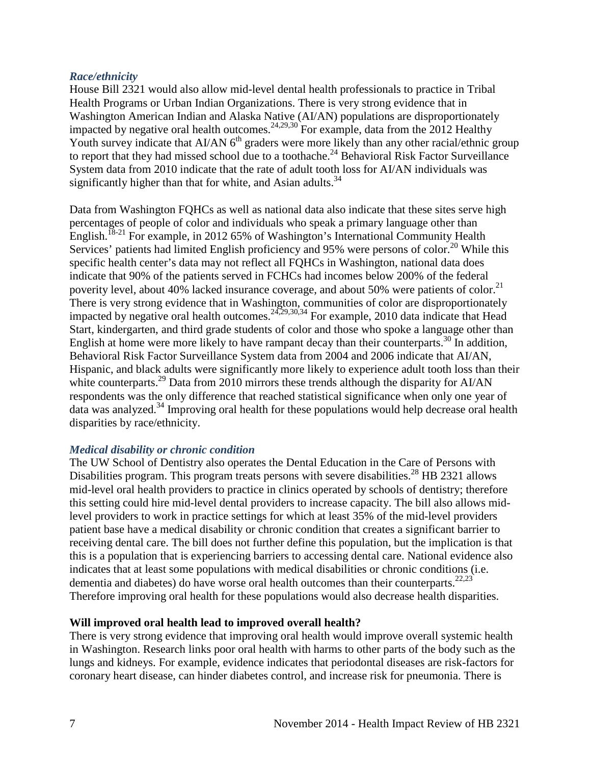#### *Race/ethnicity*

House Bill 2321 would also allow mid-level dental health professionals to practice in Tribal Health Programs or Urban Indian Organizations. There is very strong evidence that in Washington American Indian and Alaska Native (AI/AN) populations are disproportionately impacted by negative oral health outcomes.<sup>24,[29,](#page-20-0)[30](#page-20-1)</sup> For example, data from the 2012 Healthy Youth survey indicate that AI/AN  $6<sup>th</sup>$  graders were more likely than any other racial/ethnic group to report that they had missed school due to a toothache.<sup>24</sup> Behavioral Risk Factor Surveillance System data from 2010 indicate that the rate of adult tooth loss for AI/AN individuals was significantly higher than that for white, and Asian adults. $34$ 

Data from Washington FQHCs as well as national data also indicate that these sites serve high percentages of people of color and individuals who speak a primary language other than English.<sup>18-21</sup> For example, in 2012 65% of Washington's International Community Health Services' patients had limited English proficiency and 95% were persons of color.<sup>20</sup> While this specific health center's data may not reflect all FQHCs in Washington, national data does indicate that 90% of the patients served in FCHCs had incomes below 200% of the federal poverity level, about 40% lacked insurance coverage, and about 50% were patients of color.<sup>21</sup> There is very strong evidence that in Washington, communities of color are disproportionately impacted by negative oral health outcomes.  $24,29,30,34$  $24,29,30,34$  $24,29,30,34$  $24,29,30,34$  For example, 2010 data indicate that Head Start, kindergarten, and third grade students of color and those who spoke a language other than English at home were more likely to have rampant decay than their counterparts.<sup>[30](#page-20-1)</sup> In addition, Behavioral Risk Factor Surveillance System data from 2004 and 2006 indicate that AI/AN, Hispanic, and black adults were significantly more likely to experience adult tooth loss than their white counterparts.<sup>[29](#page-20-0)</sup> Data from 2010 mirrors these trends although the disparity for AI/AN respondents was the only difference that reached statistical significance when only one year of data was analyzed[.34](#page-22-2) Improving oral health for these populations would help decrease oral health disparities by race/ethnicity.

#### *Medical disability or chronic condition*

The UW School of Dentistry also operates the Dental Education in the Care of Persons with Disabilities program. This program treats persons with severe disabilities.<sup>28</sup> HB 2321 allows mid-level oral health providers to practice in clinics operated by schools of dentistry; therefore this setting could hire mid-level dental providers to increase capacity. The bill also allows midlevel providers to work in practice settings for which at least 35% of the mid-level providers patient base have a medical disability or chronic condition that creates a significant barrier to receiving dental care. The bill does not further define this population, but the implication is that this is a population that is experiencing barriers to accessing dental care. National evidence also indicates that at least some populations with medical disabilities or chronic conditions (i.e. dementia and diabetes) do have worse oral health outcomes than their counterparts.<sup>22,[23](#page-19-5)</sup> Therefore improving oral health for these populations would also decrease health disparities.

#### **Will improved oral health lead to improved overall health?**

There is very strong evidence that improving oral health would improve overall systemic health in Washington. Research links poor oral health with harms to other parts of the body such as the lungs and kidneys. For example, evidence indicates that periodontal diseases are risk-factors for coronary heart disease, can hinder diabetes control, and increase risk for pneumonia. There is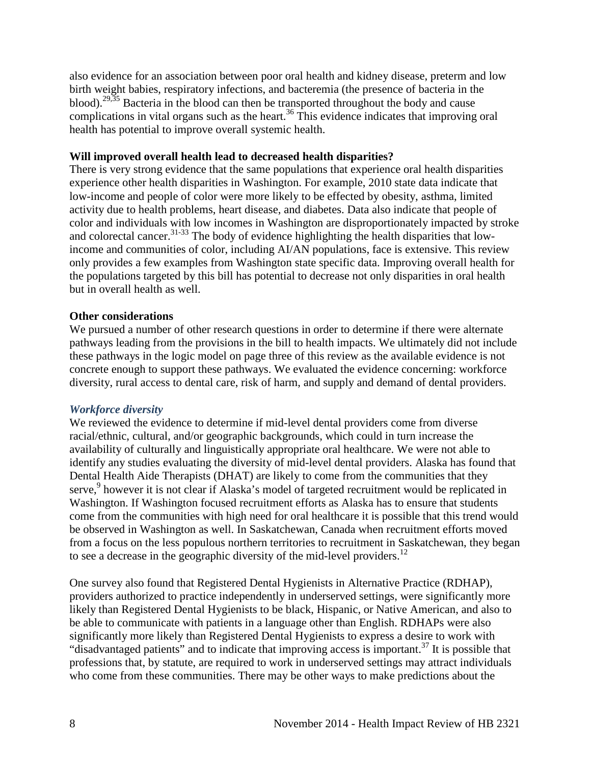also evidence for an association between poor oral health and kidney disease, preterm and low birth weight babies, respiratory infections, and bacteremia (the presence of bacteria in the blood).<sup>[29,](#page-20-0)[35](#page-22-0)</sup> Bacteria in the blood can then be transported throughout the body and cause complications in vital organs such as the heart.<sup>36</sup> This evidence indicates that improving oral health has potential to improve overall systemic health.

#### **Will improved overall health lead to decreased health disparities?**

There is very strong evidence that the same populations that experience oral health disparities experience other health disparities in Washington. For example, 2010 state data indicate that low-income and people of color were more likely to be effected by obesity, asthma, limited activity due to health problems, heart disease, and diabetes. Data also indicate that people of color and individuals with low incomes in Washington are disproportionately impacted by stroke and colorectal cancer.<sup>[31-33](#page-21-0)</sup> The body of evidence highlighting the health disparities that lowincome and communities of color, including AI/AN populations, face is extensive. This review only provides a few examples from Washington state specific data. Improving overall health for the populations targeted by this bill has potential to decrease not only disparities in oral health but in overall health as well.

#### **Other considerations**

We pursued a number of other research questions in order to determine if there were alternate pathways leading from the provisions in the bill to health impacts. We ultimately did not include these pathways in the logic model on page three of this review as the available evidence is not concrete enough to support these pathways. We evaluated the evidence concerning: workforce diversity, rural access to dental care, risk of harm, and supply and demand of dental providers.

#### *Workforce diversity*

We reviewed the evidence to determine if mid-level dental providers come from diverse racial/ethnic, cultural, and/or geographic backgrounds, which could in turn increase the availability of culturally and linguistically appropriate oral healthcare. We were not able to identify any studies evaluating the diversity of mid-level dental providers. Alaska has found that Dental Health Aide Therapists (DHAT) are likely to come from the communities that they serve,<sup>9</sup> however it is not clear if Alaska's model of targeted recruitment would be replicated in Washington. If Washington focused recruitment efforts as Alaska has to ensure that students come from the communities with high need for oral healthcare it is possible that this trend would be observed in Washington as well. In Saskatchewan, Canada when recruitment efforts moved from a focus on the less populous northern territories to recruitment in Saskatchewan, they began to see a decrease in the geographic diversity of the mid-level providers.<sup>12</sup>

One survey also found that Registered Dental Hygienists in Alternative Practice (RDHAP), providers authorized to practice independently in underserved settings, were significantly more likely than Registered Dental Hygienists to be black, Hispanic, or Native American, and also to be able to communicate with patients in a language other than English. RDHAPs were also significantly more likely than Registered Dental Hygienists to express a desire to work with "disadvantaged patients" and to indicate that improving access is important.<sup>37</sup> It is possible that professions that, by statute, are required to work in underserved settings may attract individuals who come from these communities. There may be other ways to make predictions about the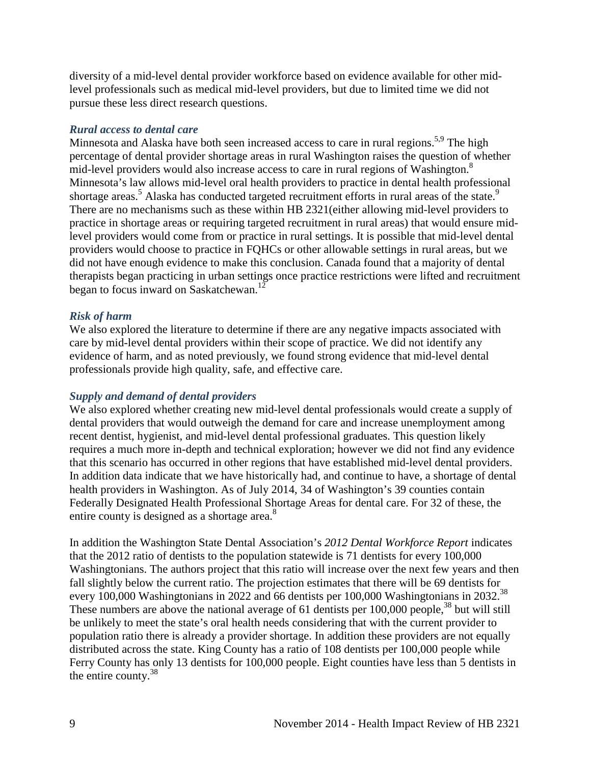diversity of a mid-level dental provider workforce based on evidence available for other midlevel professionals such as medical mid-level providers, but due to limited time we did not pursue these less direct research questions.

#### *Rural access to dental care*

Minnesota and Alaska have both seen increased access to care in rural regions.<sup>[5](#page-13-0)[,9](#page-15-1)</sup> The high percentage of dental provider shortage areas in rural Washington raises the question of whether mid-level providers would also increase access to care in rural regions of Washington[.8](#page-14-2) Minnesota's law allows mid-level oral health providers to practice in dental health professional shortage areas.<sup>[5](#page-13-0)</sup> Alaska has conducted targeted recruitment efforts in rural areas of the state.<sup>[9](#page-15-1)</sup> There are no mechanisms such as these within HB 2321(either allowing mid-level providers to practice in shortage areas or requiring targeted recruitment in rural areas) that would ensure midlevel providers would come from or practice in rural settings. It is possible that mid-level dental providers would choose to practice in FQHCs or other allowable settings in rural areas, but we did not have enough evidence to make this conclusion. Canada found that a majority of dental therapists began practicing in urban settings once practice restrictions were lifted and recruitment began to focus inward on Saskatchewan.<sup>[12](#page-16-1)</sup>

#### *Risk of harm*

We also explored the literature to determine if there are any negative impacts associated with care by mid-level dental providers within their scope of practice. We did not identify any evidence of harm, and as noted previously, we found strong evidence that mid-level dental professionals provide high quality, safe, and effective care.

#### *Supply and demand of dental providers*

We also explored whether creating new mid-level dental professionals would create a supply of dental providers that would outweigh the demand for care and increase unemployment among recent dentist, hygienist, and mid-level dental professional graduates. This question likely requires a much more in-depth and technical exploration; however we did not find any evidence that this scenario has occurred in other regions that have established mid-level dental providers. In addition data indicate that we have historically had, and continue to have, a shortage of dental health providers in Washington. As of July 2014, 34 of Washington's 39 counties contain Federally Designated Health Professional Shortage Areas for dental care. For 32 of these, the entire county is designed as a shortage area.<sup>[8](#page-14-2)</sup>

In addition the Washington State Dental Association's *2012 Dental Workforce Report* indicates that the 2012 ratio of dentists to the population statewide is 71 dentists for every 100,000 Washingtonians. The authors project that this ratio will increase over the next few years and then fall slightly below the current ratio. The projection estimates that there will be 69 dentists for every 100,000 Washingtonians in 2022 and 66 dentists per 100,000 Washingtonians in 2032.<sup>38</sup> These numbers are above the national average of 61 dentists per  $100,000$  people,<sup>38</sup> but will still be unlikely to meet the state's oral health needs considering that with the current provider to population ratio there is already a provider shortage. In addition these providers are not equally distributed across the state. King County has a ratio of 108 dentists per 100,000 people while Ferry County has only 13 dentists for 100,000 people. Eight counties have less than 5 dentists in the entire county[.38](#page-23-1)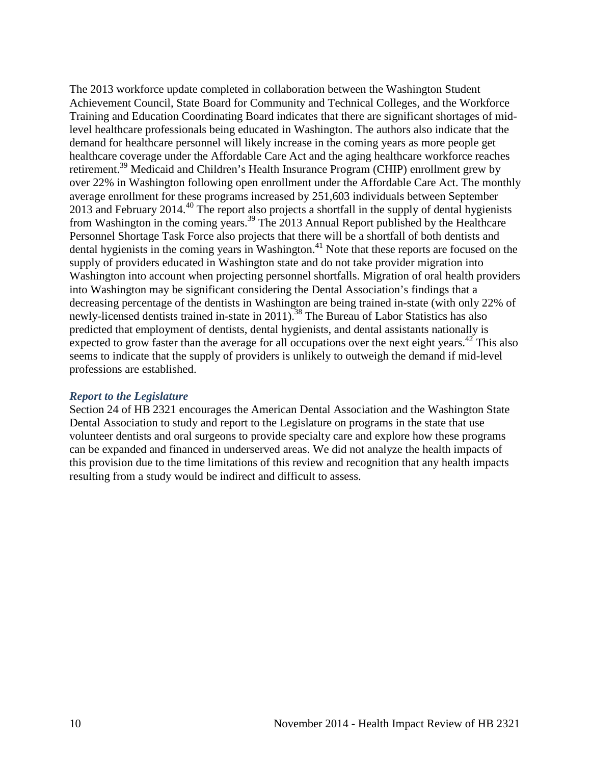The 2013 workforce update completed in collaboration between the Washington Student Achievement Council, State Board for Community and Technical Colleges, and the Workforce Training and Education Coordinating Board indicates that there are significant shortages of midlevel healthcare professionals being educated in Washington. The authors also indicate that the demand for healthcare personnel will likely increase in the coming years as more people get healthcare coverage under the Affordable Care Act and the aging healthcare workforce reaches retirement.<sup>39</sup> Medicaid and Children's Health Insurance Program (CHIP) enrollment grew by over 22% in Washington following open enrollment under the Affordable Care Act. The monthly average enrollment for these programs increased by 251,603 individuals between September 2013 and February 2014.<sup>[40](#page-24-0)</sup> The report also projects a shortfall in the supply of dental hygienists from Washington in the coming years.<sup>[39](#page-23-2)</sup> The 2013 Annual Report published by the Healthcare Personnel Shortage Task Force also projects that there will be a shortfall of both dentists and dental hygienists in the coming years in Washington.<sup>[41](#page-24-1)</sup> Note that these reports are focused on the supply of providers educated in Washington state and do not take provider migration into Washington into account when projecting personnel shortfalls. Migration of oral health providers into Washington may be significant considering the Dental Association's findings that a decreasing percentage of the dentists in Washington are being trained in-state (with only 22% of newly-licensed dentists trained in-state in 2011).<sup>[38](#page-23-1)</sup> The Bureau of Labor Statistics has also predicted that employment of dentists, dental hygienists, and dental assistants nationally is expected to grow faster than the average for all occupations over the next eight years.<sup>42</sup> This also seems to indicate that the supply of providers is unlikely to outweigh the demand if mid-level professions are established.

#### *Report to the Legislature*

Section 24 of HB 2321 encourages the American Dental Association and the Washington State Dental Association to study and report to the Legislature on programs in the state that use volunteer dentists and oral surgeons to provide specialty care and explore how these programs can be expanded and financed in underserved areas. We did not analyze the health impacts of this provision due to the time limitations of this review and recognition that any health impacts resulting from a study would be indirect and difficult to assess.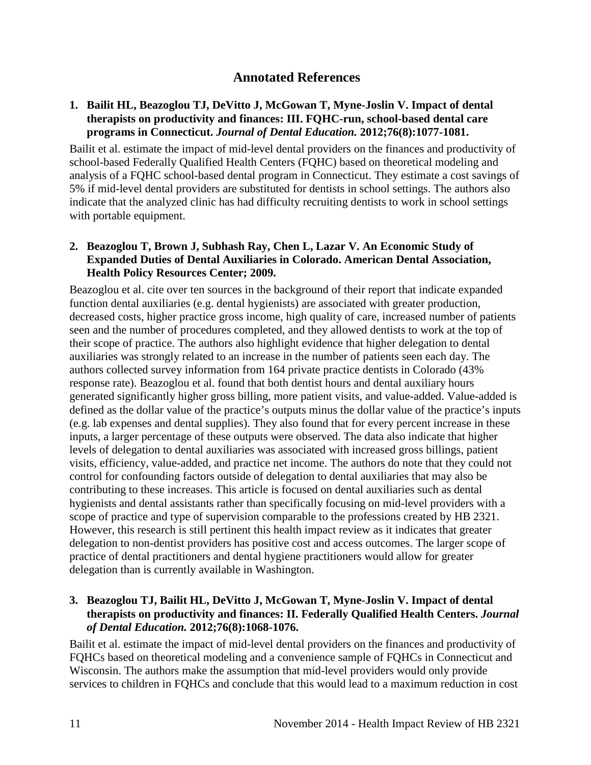### <span id="page-12-0"></span>**Annotated References**

#### <span id="page-12-1"></span>**1. Bailit HL, Beazoglou TJ, DeVitto J, McGowan T, Myne-Joslin V. Impact of dental therapists on productivity and finances: III. FQHC-run, school-based dental care programs in Connecticut.** *Journal of Dental Education.* **2012;76(8):1077-1081.**

Bailit et al. estimate the impact of mid-level dental providers on the finances and productivity of school-based Federally Qualified Health Centers (FQHC) based on theoretical modeling and analysis of a FQHC school-based dental program in Connecticut. They estimate a cost savings of 5% if mid-level dental providers are substituted for dentists in school settings. The authors also indicate that the analyzed clinic has had difficulty recruiting dentists to work in school settings with portable equipment.

#### <span id="page-12-3"></span>**2. Beazoglou T, Brown J, Subhash Ray, Chen L, Lazar V. An Economic Study of Expanded Duties of Dental Auxiliaries in Colorado. American Dental Association, Health Policy Resources Center; 2009.**

Beazoglou et al. cite over ten sources in the background of their report that indicate expanded function dental auxiliaries (e.g. dental hygienists) are associated with greater production, decreased costs, higher practice gross income, high quality of care, increased number of patients seen and the number of procedures completed, and they allowed dentists to work at the top of their scope of practice. The authors also highlight evidence that higher delegation to dental auxiliaries was strongly related to an increase in the number of patients seen each day. The authors collected survey information from 164 private practice dentists in Colorado (43% response rate). Beazoglou et al. found that both dentist hours and dental auxiliary hours generated significantly higher gross billing, more patient visits, and value-added. Value-added is defined as the dollar value of the practice's outputs minus the dollar value of the practice's inputs (e.g. lab expenses and dental supplies). They also found that for every percent increase in these inputs, a larger percentage of these outputs were observed. The data also indicate that higher levels of delegation to dental auxiliaries was associated with increased gross billings, patient visits, efficiency, value-added, and practice net income. The authors do note that they could not control for confounding factors outside of delegation to dental auxiliaries that may also be contributing to these increases. This article is focused on dental auxiliaries such as dental hygienists and dental assistants rather than specifically focusing on mid-level providers with a scope of practice and type of supervision comparable to the professions created by HB 2321. However, this research is still pertinent this health impact review as it indicates that greater delegation to non-dentist providers has positive cost and access outcomes. The larger scope of practice of dental practitioners and dental hygiene practitioners would allow for greater delegation than is currently available in Washington.

#### <span id="page-12-2"></span>**3. Beazoglou TJ, Bailit HL, DeVitto J, McGowan T, Myne-Joslin V. Impact of dental therapists on productivity and finances: II. Federally Qualified Health Centers.** *Journal of Dental Education.* **2012;76(8):1068-1076.**

Bailit et al. estimate the impact of mid-level dental providers on the finances and productivity of FQHCs based on theoretical modeling and a convenience sample of FQHCs in Connecticut and Wisconsin. The authors make the assumption that mid-level providers would only provide services to children in FQHCs and conclude that this would lead to a maximum reduction in cost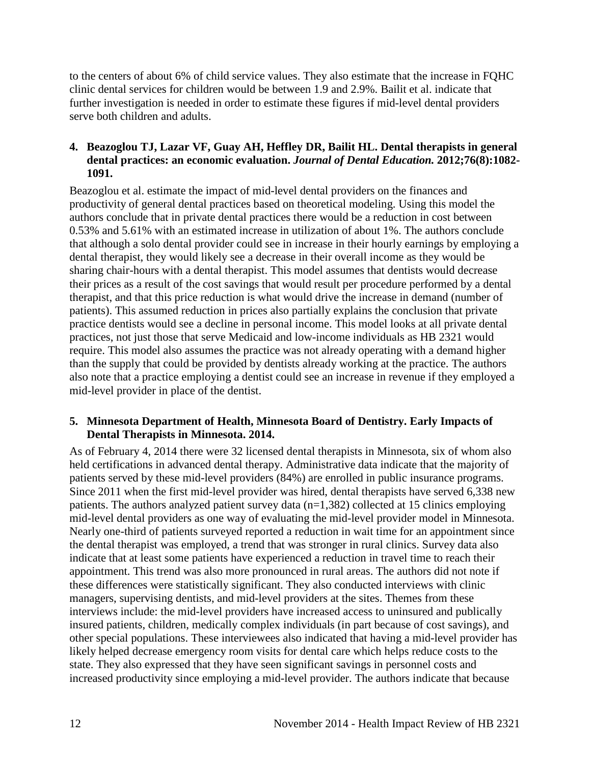to the centers of about 6% of child service values. They also estimate that the increase in FQHC clinic dental services for children would be between 1.9 and 2.9%. Bailit et al. indicate that further investigation is needed in order to estimate these figures if mid-level dental providers serve both children and adults.

#### <span id="page-13-1"></span>**4. Beazoglou TJ, Lazar VF, Guay AH, Heffley DR, Bailit HL. Dental therapists in general dental practices: an economic evaluation.** *Journal of Dental Education.* **2012;76(8):1082- 1091.**

Beazoglou et al. estimate the impact of mid-level dental providers on the finances and productivity of general dental practices based on theoretical modeling. Using this model the authors conclude that in private dental practices there would be a reduction in cost between 0.53% and 5.61% with an estimated increase in utilization of about 1%. The authors conclude that although a solo dental provider could see in increase in their hourly earnings by employing a dental therapist, they would likely see a decrease in their overall income as they would be sharing chair-hours with a dental therapist. This model assumes that dentists would decrease their prices as a result of the cost savings that would result per procedure performed by a dental therapist, and that this price reduction is what would drive the increase in demand (number of patients). This assumed reduction in prices also partially explains the conclusion that private practice dentists would see a decline in personal income. This model looks at all private dental practices, not just those that serve Medicaid and low-income individuals as HB 2321 would require. This model also assumes the practice was not already operating with a demand higher than the supply that could be provided by dentists already working at the practice. The authors also note that a practice employing a dentist could see an increase in revenue if they employed a mid-level provider in place of the dentist.

#### <span id="page-13-0"></span>**5. Minnesota Department of Health, Minnesota Board of Dentistry. Early Impacts of Dental Therapists in Minnesota. 2014.**

As of February 4, 2014 there were 32 licensed dental therapists in Minnesota, six of whom also held certifications in advanced dental therapy. Administrative data indicate that the majority of patients served by these mid-level providers (84%) are enrolled in public insurance programs. Since 2011 when the first mid-level provider was hired, dental therapists have served 6,338 new patients. The authors analyzed patient survey data (n=1,382) collected at 15 clinics employing mid-level dental providers as one way of evaluating the mid-level provider model in Minnesota. Nearly one-third of patients surveyed reported a reduction in wait time for an appointment since the dental therapist was employed, a trend that was stronger in rural clinics. Survey data also indicate that at least some patients have experienced a reduction in travel time to reach their appointment. This trend was also more pronounced in rural areas. The authors did not note if these differences were statistically significant. They also conducted interviews with clinic managers, supervising dentists, and mid-level providers at the sites. Themes from these interviews include: the mid-level providers have increased access to uninsured and publically insured patients, children, medically complex individuals (in part because of cost savings), and other special populations. These interviewees also indicated that having a mid-level provider has likely helped decrease emergency room visits for dental care which helps reduce costs to the state. They also expressed that they have seen significant savings in personnel costs and increased productivity since employing a mid-level provider. The authors indicate that because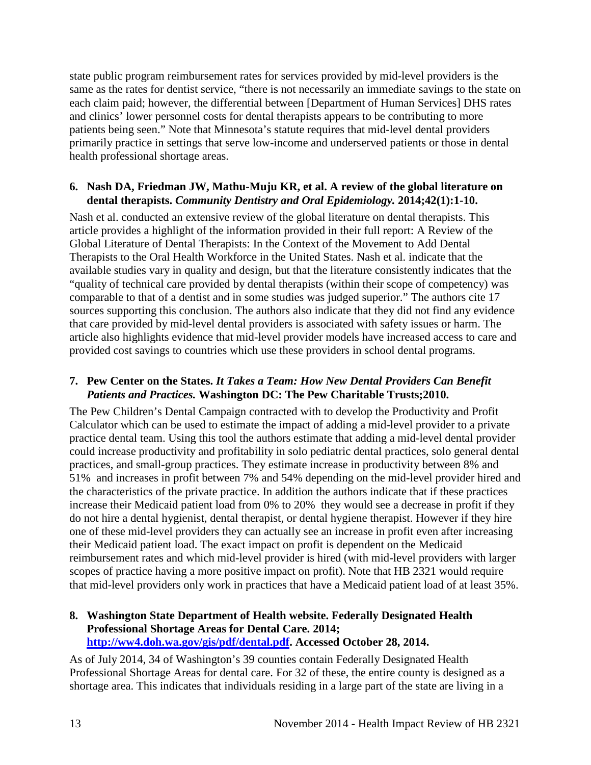state public program reimbursement rates for services provided by mid-level providers is the same as the rates for dentist service, "there is not necessarily an immediate savings to the state on each claim paid; however, the differential between [Department of Human Services] DHS rates and clinics' lower personnel costs for dental therapists appears to be contributing to more patients being seen." Note that Minnesota's statute requires that mid-level dental providers primarily practice in settings that serve low-income and underserved patients or those in dental health professional shortage areas.

#### <span id="page-14-1"></span>**6. Nash DA, Friedman JW, Mathu-Muju KR, et al. A review of the global literature on dental therapists.** *Community Dentistry and Oral Epidemiology.* **2014;42(1):1-10.**

Nash et al. conducted an extensive review of the global literature on dental therapists. This article provides a highlight of the information provided in their full report: A Review of the Global Literature of Dental Therapists: In the Context of the Movement to Add Dental Therapists to the Oral Health Workforce in the United States. Nash et al. indicate that the available studies vary in quality and design, but that the literature consistently indicates that the "quality of technical care provided by dental therapists (within their scope of competency) was comparable to that of a dentist and in some studies was judged superior." The authors cite 17 sources supporting this conclusion. The authors also indicate that they did not find any evidence that care provided by mid-level dental providers is associated with safety issues or harm. The article also highlights evidence that mid-level provider models have increased access to care and provided cost savings to countries which use these providers in school dental programs.

#### <span id="page-14-0"></span>**7. Pew Center on the States.** *It Takes a Team: How New Dental Providers Can Benefit Patients and Practices.* **Washington DC: The Pew Charitable Trusts;2010.**

The Pew Children's Dental Campaign contracted with to develop the Productivity and Profit Calculator which can be used to estimate the impact of adding a mid-level provider to a private practice dental team. Using this tool the authors estimate that adding a mid-level dental provider could increase productivity and profitability in solo pediatric dental practices, solo general dental practices, and small-group practices. They estimate increase in productivity between 8% and 51% and increases in profit between 7% and 54% depending on the mid-level provider hired and the characteristics of the private practice. In addition the authors indicate that if these practices increase their Medicaid patient load from 0% to 20% they would see a decrease in profit if they do not hire a dental hygienist, dental therapist, or dental hygiene therapist. However if they hire one of these mid-level providers they can actually see an increase in profit even after increasing their Medicaid patient load. The exact impact on profit is dependent on the Medicaid reimbursement rates and which mid-level provider is hired (with mid-level providers with larger scopes of practice having a more positive impact on profit). Note that HB 2321 would require that mid-level providers only work in practices that have a Medicaid patient load of at least 35%.

#### <span id="page-14-2"></span>**8. Washington State Department of Health website. Federally Designated Health Professional Shortage Areas for Dental Care. 2014; [http://ww4.doh.wa.gov/gis/pdf/dental.pdf.](http://ww4.doh.wa.gov/gis/pdf/dental.pdf) Accessed October 28, 2014.**

As of July 2014, 34 of Washington's 39 counties contain Federally Designated Health Professional Shortage Areas for dental care. For 32 of these, the entire county is designed as a shortage area. This indicates that individuals residing in a large part of the state are living in a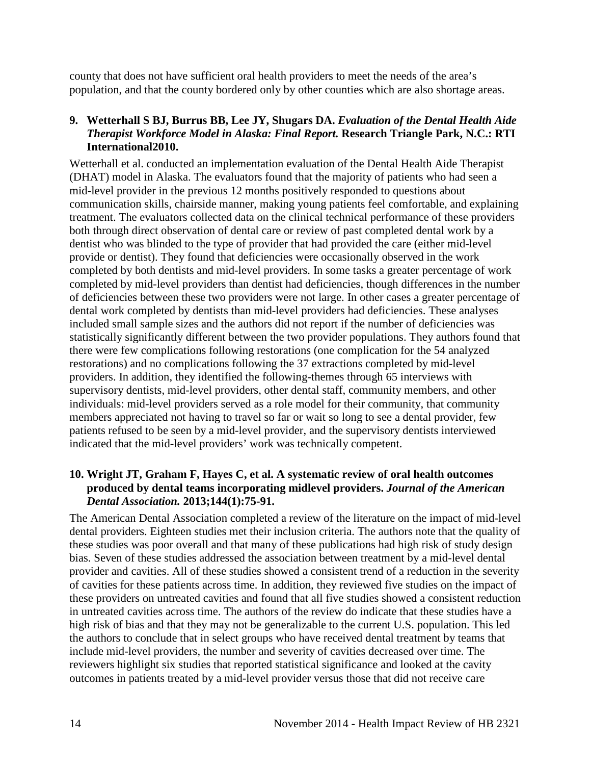county that does not have sufficient oral health providers to meet the needs of the area's population, and that the county bordered only by other counties which are also shortage areas.

#### <span id="page-15-1"></span>**9. Wetterhall S BJ, Burrus BB, Lee JY, Shugars DA.** *Evaluation of the Dental Health Aide Therapist Workforce Model in Alaska: Final Report.* **Research Triangle Park, N.C.: RTI International2010.**

Wetterhall et al. conducted an implementation evaluation of the Dental Health Aide Therapist (DHAT) model in Alaska. The evaluators found that the majority of patients who had seen a mid-level provider in the previous 12 months positively responded to questions about communication skills, chairside manner, making young patients feel comfortable, and explaining treatment. The evaluators collected data on the clinical technical performance of these providers both through direct observation of dental care or review of past completed dental work by a dentist who was blinded to the type of provider that had provided the care (either mid-level provide or dentist). They found that deficiencies were occasionally observed in the work completed by both dentists and mid-level providers. In some tasks a greater percentage of work completed by mid-level providers than dentist had deficiencies, though differences in the number of deficiencies between these two providers were not large. In other cases a greater percentage of dental work completed by dentists than mid-level providers had deficiencies. These analyses included small sample sizes and the authors did not report if the number of deficiencies was statistically significantly different between the two provider populations. They authors found that there were few complications following restorations (one complication for the 54 analyzed restorations) and no complications following the 37 extractions completed by mid-level providers. In addition, they identified the following-themes through 65 interviews with supervisory dentists, mid-level providers, other dental staff, community members, and other individuals: mid-level providers served as a role model for their community, that community members appreciated not having to travel so far or wait so long to see a dental provider, few patients refused to be seen by a mid-level provider, and the supervisory dentists interviewed indicated that the mid-level providers' work was technically competent.

#### <span id="page-15-0"></span>**10. Wright JT, Graham F, Hayes C, et al. A systematic review of oral health outcomes produced by dental teams incorporating midlevel providers.** *Journal of the American Dental Association.* **2013;144(1):75-91.**

The American Dental Association completed a review of the literature on the impact of mid-level dental providers. Eighteen studies met their inclusion criteria. The authors note that the quality of these studies was poor overall and that many of these publications had high risk of study design bias. Seven of these studies addressed the association between treatment by a mid-level dental provider and cavities. All of these studies showed a consistent trend of a reduction in the severity of cavities for these patients across time. In addition, they reviewed five studies on the impact of these providers on untreated cavities and found that all five studies showed a consistent reduction in untreated cavities across time. The authors of the review do indicate that these studies have a high risk of bias and that they may not be generalizable to the current U.S. population. This led the authors to conclude that in select groups who have received dental treatment by teams that include mid-level providers, the number and severity of cavities decreased over time. The reviewers highlight six studies that reported statistical significance and looked at the cavity outcomes in patients treated by a mid-level provider versus those that did not receive care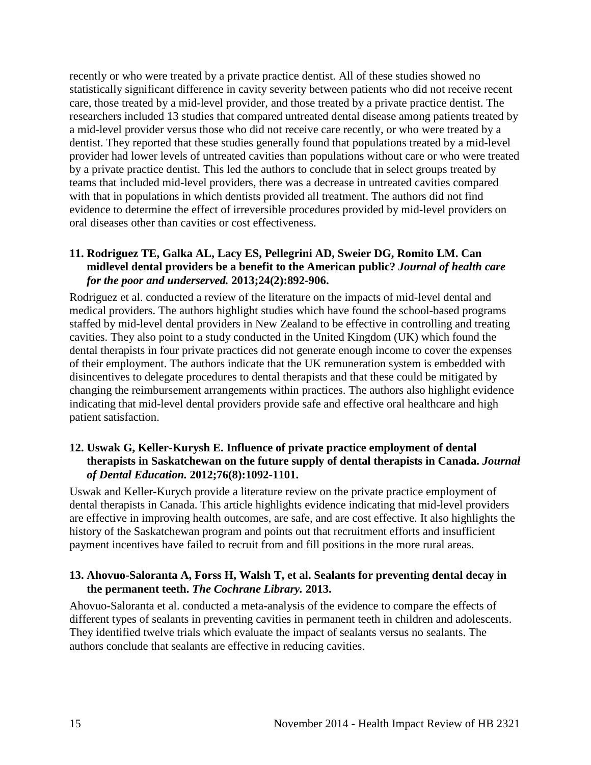recently or who were treated by a private practice dentist. All of these studies showed no statistically significant difference in cavity severity between patients who did not receive recent care, those treated by a mid-level provider, and those treated by a private practice dentist. The researchers included 13 studies that compared untreated dental disease among patients treated by a mid-level provider versus those who did not receive care recently, or who were treated by a dentist. They reported that these studies generally found that populations treated by a mid-level provider had lower levels of untreated cavities than populations without care or who were treated by a private practice dentist. This led the authors to conclude that in select groups treated by teams that included mid-level providers, there was a decrease in untreated cavities compared with that in populations in which dentists provided all treatment. The authors did not find evidence to determine the effect of irreversible procedures provided by mid-level providers on oral diseases other than cavities or cost effectiveness.

#### <span id="page-16-0"></span>**11. Rodriguez TE, Galka AL, Lacy ES, Pellegrini AD, Sweier DG, Romito LM. Can midlevel dental providers be a benefit to the American public?** *Journal of health care for the poor and underserved.* **2013;24(2):892-906.**

Rodriguez et al. conducted a review of the literature on the impacts of mid-level dental and medical providers. The authors highlight studies which have found the school-based programs staffed by mid-level dental providers in New Zealand to be effective in controlling and treating cavities. They also point to a study conducted in the United Kingdom (UK) which found the dental therapists in four private practices did not generate enough income to cover the expenses of their employment. The authors indicate that the UK remuneration system is embedded with disincentives to delegate procedures to dental therapists and that these could be mitigated by changing the reimbursement arrangements within practices. The authors also highlight evidence indicating that mid-level dental providers provide safe and effective oral healthcare and high patient satisfaction.

#### <span id="page-16-1"></span>**12. Uswak G, Keller-Kurysh E. Influence of private practice employment of dental therapists in Saskatchewan on the future supply of dental therapists in Canada.** *Journal of Dental Education.* **2012;76(8):1092-1101.**

Uswak and Keller-Kurych provide a literature review on the private practice employment of dental therapists in Canada. This article highlights evidence indicating that mid-level providers are effective in improving health outcomes, are safe, and are cost effective. It also highlights the history of the Saskatchewan program and points out that recruitment efforts and insufficient payment incentives have failed to recruit from and fill positions in the more rural areas.

#### <span id="page-16-2"></span>**13. Ahovuo-Saloranta A, Forss H, Walsh T, et al. Sealants for preventing dental decay in the permanent teeth.** *The Cochrane Library.* **2013.**

Ahovuo-Saloranta et al. conducted a meta-analysis of the evidence to compare the effects of different types of sealants in preventing cavities in permanent teeth in children and adolescents. They identified twelve trials which evaluate the impact of sealants versus no sealants. The authors conclude that sealants are effective in reducing cavities.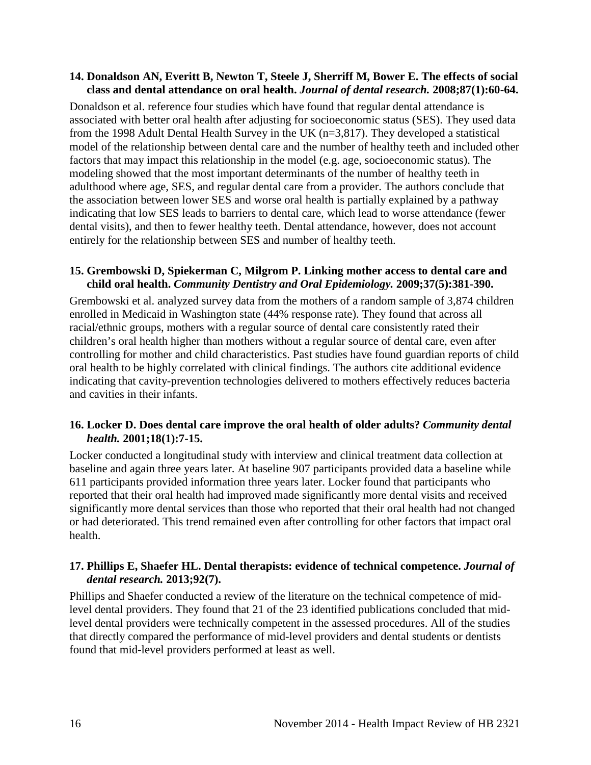#### <span id="page-17-1"></span>**14. Donaldson AN, Everitt B, Newton T, Steele J, Sherriff M, Bower E. The effects of social class and dental attendance on oral health.** *Journal of dental research.* **2008;87(1):60-64.**

Donaldson et al. reference four studies which have found that regular dental attendance is associated with better oral health after adjusting for socioeconomic status (SES). They used data from the 1998 Adult Dental Health Survey in the UK (n=3,817). They developed a statistical model of the relationship between dental care and the number of healthy teeth and included other factors that may impact this relationship in the model (e.g. age, socioeconomic status). The modeling showed that the most important determinants of the number of healthy teeth in adulthood where age, SES, and regular dental care from a provider. The authors conclude that the association between lower SES and worse oral health is partially explained by a pathway indicating that low SES leads to barriers to dental care, which lead to worse attendance (fewer dental visits), and then to fewer healthy teeth. Dental attendance, however, does not account entirely for the relationship between SES and number of healthy teeth.

#### <span id="page-17-3"></span>**15. Grembowski D, Spiekerman C, Milgrom P. Linking mother access to dental care and child oral health.** *Community Dentistry and Oral Epidemiology.* **2009;37(5):381-390.**

Grembowski et al. analyzed survey data from the mothers of a random sample of 3,874 children enrolled in Medicaid in Washington state (44% response rate). They found that across all racial/ethnic groups, mothers with a regular source of dental care consistently rated their children's oral health higher than mothers without a regular source of dental care, even after controlling for mother and child characteristics. Past studies have found guardian reports of child oral health to be highly correlated with clinical findings. The authors cite additional evidence indicating that cavity-prevention technologies delivered to mothers effectively reduces bacteria and cavities in their infants.

#### <span id="page-17-2"></span>**16. Locker D. Does dental care improve the oral health of older adults?** *Community dental health.* **2001;18(1):7-15.**

Locker conducted a longitudinal study with interview and clinical treatment data collection at baseline and again three years later. At baseline 907 participants provided data a baseline while 611 participants provided information three years later. Locker found that participants who reported that their oral health had improved made significantly more dental visits and received significantly more dental services than those who reported that their oral health had not changed or had deteriorated. This trend remained even after controlling for other factors that impact oral health.

#### <span id="page-17-0"></span>**17. Phillips E, Shaefer HL. Dental therapists: evidence of technical competence.** *Journal of dental research.* **2013;92(7).**

Phillips and Shaefer conducted a review of the literature on the technical competence of midlevel dental providers. They found that 21 of the 23 identified publications concluded that midlevel dental providers were technically competent in the assessed procedures. All of the studies that directly compared the performance of mid-level providers and dental students or dentists found that mid-level providers performed at least as well.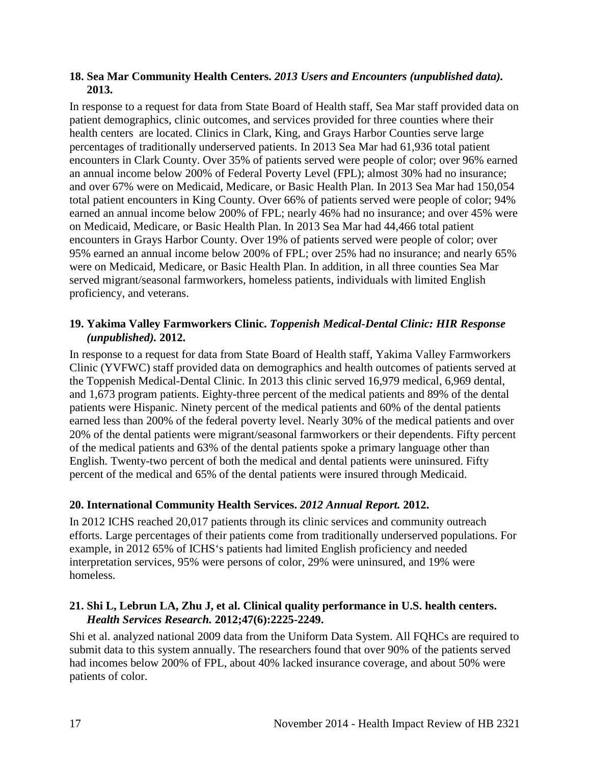#### <span id="page-18-0"></span>**18. Sea Mar Community Health Centers.** *2013 Users and Encounters (unpublished data).*  **2013.**

In response to a request for data from State Board of Health staff, Sea Mar staff provided data on patient demographics, clinic outcomes, and services provided for three counties where their health centers are located. Clinics in Clark, King, and Grays Harbor Counties serve large percentages of traditionally underserved patients. In 2013 Sea Mar had 61,936 total patient encounters in Clark County. Over 35% of patients served were people of color; over 96% earned an annual income below 200% of Federal Poverty Level (FPL); almost 30% had no insurance; and over 67% were on Medicaid, Medicare, or Basic Health Plan. In 2013 Sea Mar had 150,054 total patient encounters in King County. Over 66% of patients served were people of color; 94% earned an annual income below 200% of FPL; nearly 46% had no insurance; and over 45% were on Medicaid, Medicare, or Basic Health Plan. In 2013 Sea Mar had 44,466 total patient encounters in Grays Harbor County. Over 19% of patients served were people of color; over 95% earned an annual income below 200% of FPL; over 25% had no insurance; and nearly 65% were on Medicaid, Medicare, or Basic Health Plan. In addition, in all three counties Sea Mar served migrant/seasonal farmworkers, homeless patients, individuals with limited English proficiency, and veterans.

#### **19. Yakima Valley Farmworkers Clinic.** *Toppenish Medical-Dental Clinic: HIR Response (unpublished).* **2012.**

In response to a request for data from State Board of Health staff, Yakima Valley Farmworkers Clinic (YVFWC) staff provided data on demographics and health outcomes of patients served at the Toppenish Medical-Dental Clinic. In 2013 this clinic served 16,979 medical, 6,969 dental, and 1,673 program patients. Eighty-three percent of the medical patients and 89% of the dental patients were Hispanic. Ninety percent of the medical patients and 60% of the dental patients earned less than 200% of the federal poverty level. Nearly 30% of the medical patients and over 20% of the dental patients were migrant/seasonal farmworkers or their dependents. Fifty percent of the medical patients and 63% of the dental patients spoke a primary language other than English. Twenty-two percent of both the medical and dental patients were uninsured. Fifty percent of the medical and 65% of the dental patients were insured through Medicaid.

#### <span id="page-18-1"></span>**20. International Community Health Services.** *2012 Annual Report.* **2012.**

In 2012 ICHS reached 20,017 patients through its clinic services and community outreach efforts. Large percentages of their patients come from traditionally underserved populations. For example, in 2012 65% of ICHS's patients had limited English proficiency and needed interpretation services, 95% were persons of color, 29% were uninsured, and 19% were homeless.

#### <span id="page-18-2"></span>**21. Shi L, Lebrun LA, Zhu J, et al. Clinical quality performance in U.S. health centers.**  *Health Services Research.* **2012;47(6):2225-2249.**

Shi et al. analyzed national 2009 data from the Uniform Data System. All FQHCs are required to submit data to this system annually. The researchers found that over 90% of the patients served had incomes below 200% of FPL, about 40% lacked insurance coverage, and about 50% were patients of color.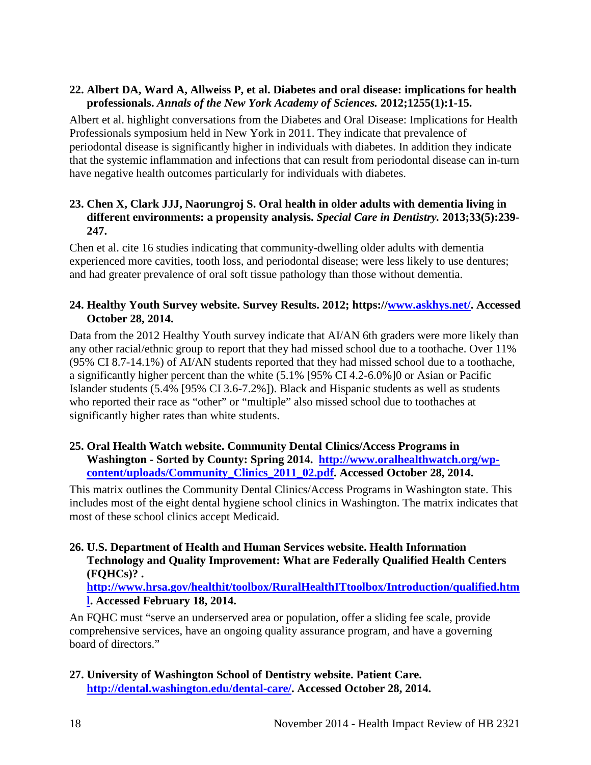#### <span id="page-19-0"></span>**22. Albert DA, Ward A, Allweiss P, et al. Diabetes and oral disease: implications for health professionals.** *Annals of the New York Academy of Sciences.* **2012;1255(1):1-15.**

Albert et al. highlight conversations from the Diabetes and Oral Disease: Implications for Health Professionals symposium held in New York in 2011. They indicate that prevalence of periodontal disease is significantly higher in individuals with diabetes. In addition they indicate that the systemic inflammation and infections that can result from periodontal disease can in-turn have negative health outcomes particularly for individuals with diabetes.

#### <span id="page-19-5"></span>**23. Chen X, Clark JJJ, Naorungroj S. Oral health in older adults with dementia living in different environments: a propensity analysis.** *Special Care in Dentistry.* **2013;33(5):239- 247.**

Chen et al. cite 16 studies indicating that community-dwelling older adults with dementia experienced more cavities, tooth loss, and periodontal disease; were less likely to use dentures; and had greater prevalence of oral soft tissue pathology than those without dementia.

#### <span id="page-19-4"></span>**24. Healthy Youth Survey website. Survey Results. 2012; https:/[/www.askhys.net/.](http://www.askhys.net/) Accessed October 28, 2014.**

Data from the 2012 Healthy Youth survey indicate that AI/AN 6th graders were more likely than any other racial/ethnic group to report that they had missed school due to a toothache. Over 11% (95% CI 8.7-14.1%) of AI/AN students reported that they had missed school due to a toothache, a significantly higher percent than the white (5.1% [95% CI 4.2-6.0%]0 or Asian or Pacific Islander students (5.4% [95% CI 3.6-7.2%]). Black and Hispanic students as well as students who reported their race as "other" or "multiple" also missed school due to toothaches at significantly higher rates than white students.

#### <span id="page-19-3"></span>**25. Oral Health Watch website. Community Dental Clinics/Access Programs in Washington - Sorted by County: Spring 2014. [http://www.oralhealthwatch.org/wp](http://www.oralhealthwatch.org/wp-content/uploads/Community_Clinics_2011_02.pdf)[content/uploads/Community\\_Clinics\\_2011\\_02.pdf.](http://www.oralhealthwatch.org/wp-content/uploads/Community_Clinics_2011_02.pdf) Accessed October 28, 2014.**

This matrix outlines the Community Dental Clinics/Access Programs in Washington state. This includes most of the eight dental hygiene school clinics in Washington. The matrix indicates that most of these school clinics accept Medicaid.

#### <span id="page-19-1"></span>**26. U.S. Department of Health and Human Services website. Health Information Technology and Quality Improvement: What are Federally Qualified Health Centers (FQHCs)? .**

**[http://www.hrsa.gov/healthit/toolbox/RuralHealthITtoolbox/Introduction/qualified.htm](http://www.hrsa.gov/healthit/toolbox/RuralHealthITtoolbox/Introduction/qualified.html) [l.](http://www.hrsa.gov/healthit/toolbox/RuralHealthITtoolbox/Introduction/qualified.html) Accessed February 18, 2014.**

An FQHC must "serve an underserved area or population, offer a sliding fee scale, provide comprehensive services, have an ongoing quality assurance program, and have a governing board of directors."

<span id="page-19-2"></span>**27. University of Washington School of Dentistry website. Patient Care. [http://dental.washington.edu/dental-care/.](http://dental.washington.edu/dental-care/) Accessed October 28, 2014.**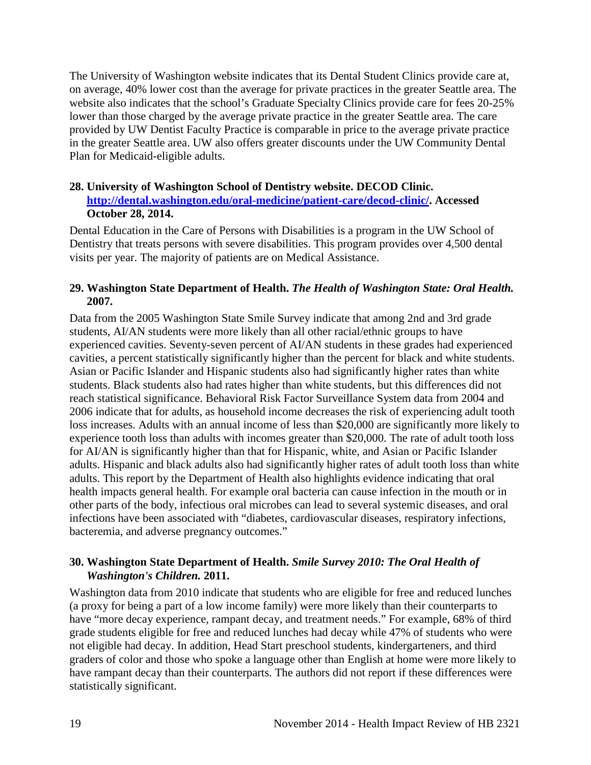The University of Washington website indicates that its Dental Student Clinics provide care at, on average, 40% lower cost than the average for private practices in the greater Seattle area. The website also indicates that the school's Graduate Specialty Clinics provide care for fees 20-25% lower than those charged by the average private practice in the greater Seattle area. The care provided by UW Dentist Faculty Practice is comparable in price to the average private practice in the greater Seattle area. UW also offers greater discounts under the UW Community Dental Plan for Medicaid-eligible adults.

#### <span id="page-20-2"></span>**28. University of Washington School of Dentistry website. DECOD Clinic. [http://dental.washington.edu/oral-medicine/patient-care/decod-clinic/.](http://dental.washington.edu/oral-medicine/patient-care/decod-clinic/) Accessed October 28, 2014.**

Dental Education in the Care of Persons with Disabilities is a program in the UW School of Dentistry that treats persons with severe disabilities. This program provides over 4,500 dental visits per year. The majority of patients are on Medical Assistance.

#### <span id="page-20-0"></span>**29. Washington State Department of Health.** *The Health of Washington State: Oral Health.*  **2007.**

Data from the 2005 Washington State Smile Survey indicate that among 2nd and 3rd grade students, AI/AN students were more likely than all other racial/ethnic groups to have experienced cavities. Seventy-seven percent of AI/AN students in these grades had experienced cavities, a percent statistically significantly higher than the percent for black and white students. Asian or Pacific Islander and Hispanic students also had significantly higher rates than white students. Black students also had rates higher than white students, but this differences did not reach statistical significance. Behavioral Risk Factor Surveillance System data from 2004 and 2006 indicate that for adults, as household income decreases the risk of experiencing adult tooth loss increases. Adults with an annual income of less than \$20,000 are significantly more likely to experience tooth loss than adults with incomes greater than \$20,000. The rate of adult tooth loss for AI/AN is significantly higher than that for Hispanic, white, and Asian or Pacific Islander adults. Hispanic and black adults also had significantly higher rates of adult tooth loss than white adults. This report by the Department of Health also highlights evidence indicating that oral health impacts general health. For example oral bacteria can cause infection in the mouth or in other parts of the body, infectious oral microbes can lead to several systemic diseases, and oral infections have been associated with "diabetes, cardiovascular diseases, respiratory infections, bacteremia, and adverse pregnancy outcomes."

#### <span id="page-20-1"></span>**30. Washington State Department of Health.** *Smile Survey 2010: The Oral Health of Washington's Children.* **2011.**

Washington data from 2010 indicate that students who are eligible for free and reduced lunches (a proxy for being a part of a low income family) were more likely than their counterparts to have "more decay experience, rampant decay, and treatment needs." For example, 68% of third grade students eligible for free and reduced lunches had decay while 47% of students who were not eligible had decay. In addition, Head Start preschool students, kindergarteners, and third graders of color and those who spoke a language other than English at home were more likely to have rampant decay than their counterparts. The authors did not report if these differences were statistically significant.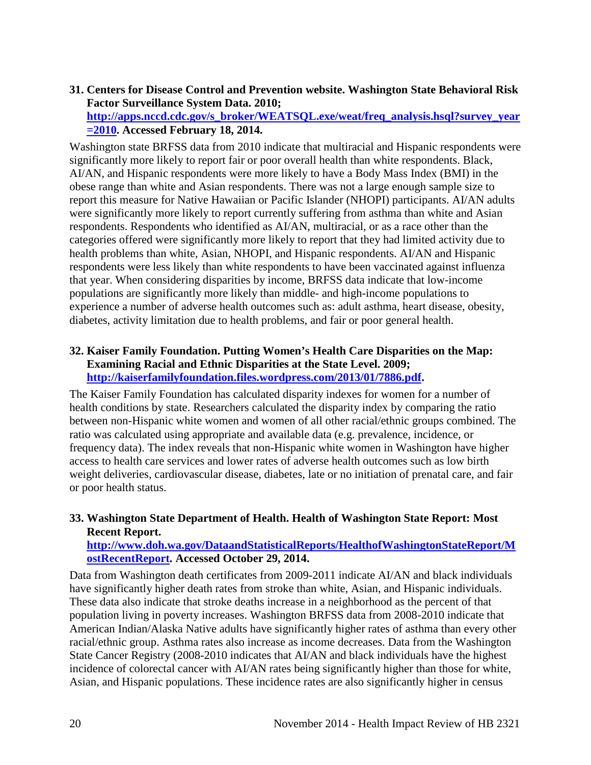<span id="page-21-0"></span>**31. Centers for Disease Control and Prevention website. Washington State Behavioral Risk Factor Surveillance System Data. 2010; [http://apps.nccd.cdc.gov/s\\_broker/WEATSQL.exe/weat/freq\\_analysis.hsql?survey\\_year](http://apps.nccd.cdc.gov/s_broker/WEATSQL.exe/weat/freq_analysis.hsql?survey_year=2010) [=2010.](http://apps.nccd.cdc.gov/s_broker/WEATSQL.exe/weat/freq_analysis.hsql?survey_year=2010) Accessed February 18, 2014.**

Washington state BRFSS data from 2010 indicate that multiracial and Hispanic respondents were significantly more likely to report fair or poor overall health than white respondents. Black, AI/AN, and Hispanic respondents were more likely to have a Body Mass Index (BMI) in the obese range than white and Asian respondents. There was not a large enough sample size to report this measure for Native Hawaiian or Pacific Islander (NHOPI) participants. AI/AN adults were significantly more likely to report currently suffering from asthma than white and Asian respondents. Respondents who identified as AI/AN, multiracial, or as a race other than the categories offered were significantly more likely to report that they had limited activity due to health problems than white, Asian, NHOPI, and Hispanic respondents. AI/AN and Hispanic respondents were less likely than white respondents to have been vaccinated against influenza that year. When considering disparities by income, BRFSS data indicate that low-income populations are significantly more likely than middle- and high-income populations to experience a number of adverse health outcomes such as: adult asthma, heart disease, obesity, diabetes, activity limitation due to health problems, and fair or poor general health.

#### **32. Kaiser Family Foundation. Putting Women's Health Care Disparities on the Map: Examining Racial and Ethnic Disparities at the State Level. 2009; [http://kaiserfamilyfoundation.files.wordpress.com/2013/01/7886.pdf.](http://kaiserfamilyfoundation.files.wordpress.com/2013/01/7886.pdf)**

The Kaiser Family Foundation has calculated disparity indexes for women for a number of health conditions by state. Researchers calculated the disparity index by comparing the ratio between non-Hispanic white women and women of all other racial/ethnic groups combined. The ratio was calculated using appropriate and available data (e.g. prevalence, incidence, or frequency data). The index reveals that non-Hispanic white women in Washington have higher access to health care services and lower rates of adverse health outcomes such as low birth weight deliveries, cardiovascular disease, diabetes, late or no initiation of prenatal care, and fair or poor health status.

#### **33. Washington State Department of Health. Health of Washington State Report: Most Recent Report.**

#### **[http://www.doh.wa.gov/DataandStatisticalReports/HealthofWashingtonStateReport/M](http://www.doh.wa.gov/DataandStatisticalReports/HealthofWashingtonStateReport/MostRecentReport) [ostRecentReport.](http://www.doh.wa.gov/DataandStatisticalReports/HealthofWashingtonStateReport/MostRecentReport) Accessed October 29, 2014.**

Data from Washington death certificates from 2009-2011 indicate AI/AN and black individuals have significantly higher death rates from stroke than white, Asian, and Hispanic individuals. These data also indicate that stroke deaths increase in a neighborhood as the percent of that population living in poverty increases. Washington BRFSS data from 2008-2010 indicate that American Indian/Alaska Native adults have significantly higher rates of asthma than every other racial/ethnic group. Asthma rates also increase as income decreases. Data from the Washington State Cancer Registry (2008-2010 indicates that AI/AN and black individuals have the highest incidence of colorectal cancer with AI/AN rates being significantly higher than those for white, Asian, and Hispanic populations. These incidence rates are also significantly higher in census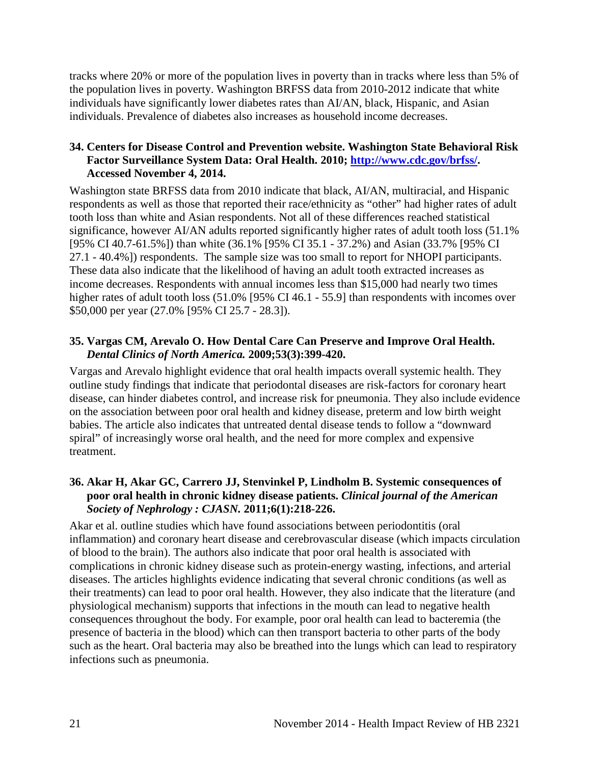tracks where 20% or more of the population lives in poverty than in tracks where less than 5% of the population lives in poverty. Washington BRFSS data from 2010-2012 indicate that white individuals have significantly lower diabetes rates than AI/AN, black, Hispanic, and Asian individuals. Prevalence of diabetes also increases as household income decreases.

#### <span id="page-22-2"></span>**34. Centers for Disease Control and Prevention website. Washington State Behavioral Risk Factor Surveillance System Data: Oral Health. 2010; [http://www.cdc.gov/brfss/.](http://www.cdc.gov/brfss/) Accessed November 4, 2014.**

Washington state BRFSS data from 2010 indicate that black, AI/AN, multiracial, and Hispanic respondents as well as those that reported their race/ethnicity as "other" had higher rates of adult tooth loss than white and Asian respondents. Not all of these differences reached statistical significance, however AI/AN adults reported significantly higher rates of adult tooth loss (51.1% [95% CI 40.7-61.5%]) than white (36.1% [95% CI 35.1 - 37.2%) and Asian (33.7% [95% CI 27.1 - 40.4%]) respondents. The sample size was too small to report for NHOPI participants. These data also indicate that the likelihood of having an adult tooth extracted increases as income decreases. Respondents with annual incomes less than \$15,000 had nearly two times higher rates of adult tooth loss (51.0% [95% CI 46.1 - 55.9] than respondents with incomes over \$50,000 per year (27.0% [95% CI 25.7 - 28.3]).

#### <span id="page-22-0"></span>**35. Vargas CM, Arevalo O. How Dental Care Can Preserve and Improve Oral Health.**  *Dental Clinics of North America.* **2009;53(3):399-420.**

Vargas and Arevalo highlight evidence that oral health impacts overall systemic health. They outline study findings that indicate that periodontal diseases are risk-factors for coronary heart disease, can hinder diabetes control, and increase risk for pneumonia. They also include evidence on the association between poor oral health and kidney disease, preterm and low birth weight babies. The article also indicates that untreated dental disease tends to follow a "downward spiral" of increasingly worse oral health, and the need for more complex and expensive treatment.

#### <span id="page-22-1"></span>**36. Akar H, Akar GC, Carrero JJ, Stenvinkel P, Lindholm B. Systemic consequences of poor oral health in chronic kidney disease patients.** *Clinical journal of the American Society of Nephrology : CJASN.* **2011;6(1):218-226.**

Akar et al. outline studies which have found associations between periodontitis (oral inflammation) and coronary heart disease and cerebrovascular disease (which impacts circulation of blood to the brain). The authors also indicate that poor oral health is associated with complications in chronic kidney disease such as protein-energy wasting, infections, and arterial diseases. The articles highlights evidence indicating that several chronic conditions (as well as their treatments) can lead to poor oral health. However, they also indicate that the literature (and physiological mechanism) supports that infections in the mouth can lead to negative health consequences throughout the body. For example, poor oral health can lead to bacteremia (the presence of bacteria in the blood) which can then transport bacteria to other parts of the body such as the heart. Oral bacteria may also be breathed into the lungs which can lead to respiratory infections such as pneumonia.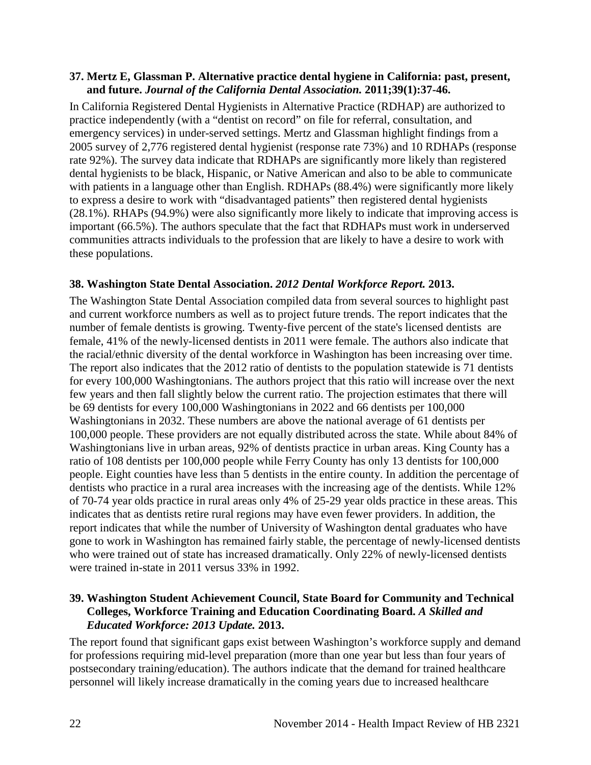#### <span id="page-23-0"></span>**37. Mertz E, Glassman P. Alternative practice dental hygiene in California: past, present, and future.** *Journal of the California Dental Association.* **2011;39(1):37-46.**

In California Registered Dental Hygienists in Alternative Practice (RDHAP) are authorized to practice independently (with a "dentist on record" on file for referral, consultation, and emergency services) in under-served settings. Mertz and Glassman highlight findings from a 2005 survey of 2,776 registered dental hygienist (response rate 73%) and 10 RDHAPs (response rate 92%). The survey data indicate that RDHAPs are significantly more likely than registered dental hygienists to be black, Hispanic, or Native American and also to be able to communicate with patients in a language other than English. RDHAPs (88.4%) were significantly more likely to express a desire to work with "disadvantaged patients" then registered dental hygienists (28.1%). RHAPs (94.9%) were also significantly more likely to indicate that improving access is important (66.5%). The authors speculate that the fact that RDHAPs must work in underserved communities attracts individuals to the profession that are likely to have a desire to work with these populations.

#### <span id="page-23-1"></span>**38. Washington State Dental Association.** *2012 Dental Workforce Report.* **2013.**

The Washington State Dental Association compiled data from several sources to highlight past and current workforce numbers as well as to project future trends. The report indicates that the number of female dentists is growing. Twenty-five percent of the state's licensed dentists are female, 41% of the newly-licensed dentists in 2011 were female. The authors also indicate that the racial/ethnic diversity of the dental workforce in Washington has been increasing over time. The report also indicates that the 2012 ratio of dentists to the population statewide is 71 dentists for every 100,000 Washingtonians. The authors project that this ratio will increase over the next few years and then fall slightly below the current ratio. The projection estimates that there will be 69 dentists for every 100,000 Washingtonians in 2022 and 66 dentists per 100,000 Washingtonians in 2032. These numbers are above the national average of 61 dentists per 100,000 people. These providers are not equally distributed across the state. While about 84% of Washingtonians live in urban areas, 92% of dentists practice in urban areas. King County has a ratio of 108 dentists per 100,000 people while Ferry County has only 13 dentists for 100,000 people. Eight counties have less than 5 dentists in the entire county. In addition the percentage of dentists who practice in a rural area increases with the increasing age of the dentists. While 12% of 70-74 year olds practice in rural areas only 4% of 25-29 year olds practice in these areas. This indicates that as dentists retire rural regions may have even fewer providers. In addition, the report indicates that while the number of University of Washington dental graduates who have gone to work in Washington has remained fairly stable, the percentage of newly-licensed dentists who were trained out of state has increased dramatically. Only 22% of newly-licensed dentists were trained in-state in 2011 versus 33% in 1992.

#### <span id="page-23-2"></span>**39. Washington Student Achievement Council, State Board for Community and Technical Colleges, Workforce Training and Education Coordinating Board.** *A Skilled and Educated Workforce: 2013 Update.* **2013.**

The report found that significant gaps exist between Washington's workforce supply and demand for professions requiring mid-level preparation (more than one year but less than four years of postsecondary training/education). The authors indicate that the demand for trained healthcare personnel will likely increase dramatically in the coming years due to increased healthcare